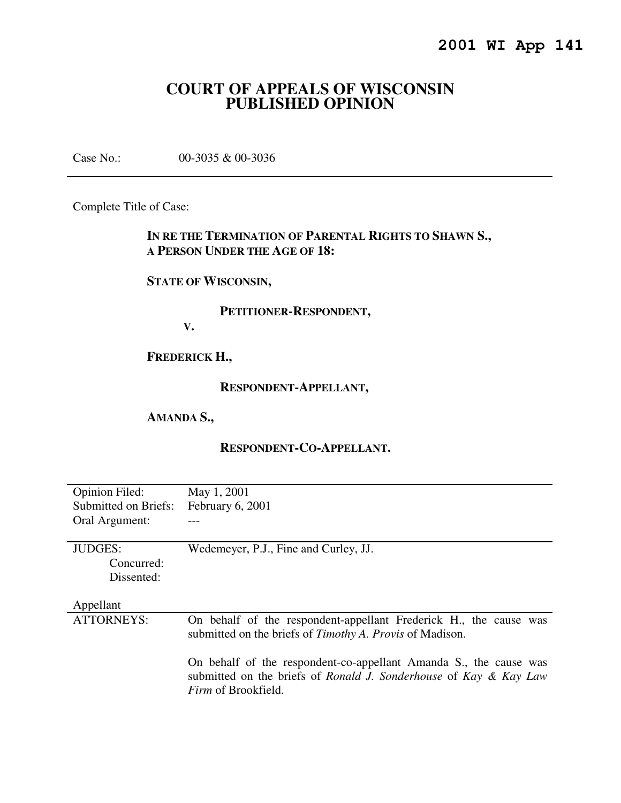# **COURT OF APPEALS OF WISCONSIN PUBLISHED OPINION**

Case No.: 00-3035 & 00-3036

Complete Title of Case:

# **IN RE THE TERMINATION OF PARENTAL RIGHTS TO SHAWN S., A PERSON UNDER THE AGE OF 18:**

# **STATE OF WISCONSIN,**

## **PETITIONER-RESPONDENT,**

**V.** 

# **FREDERICK H.,**

## **RESPONDENT-APPELLANT,**

#### **AMANDA S.,**

## **RESPONDENT-CO-APPELLANT.**

| <b>Opinion Filed:</b> | May 1, 2001                                                                                                                                                          |
|-----------------------|----------------------------------------------------------------------------------------------------------------------------------------------------------------------|
| Submitted on Briefs:  | February 6, 2001                                                                                                                                                     |
| Oral Argument:        |                                                                                                                                                                      |
|                       |                                                                                                                                                                      |
| <b>JUDGES:</b>        | Wedemeyer, P.J., Fine and Curley, JJ.                                                                                                                                |
| Concurred:            |                                                                                                                                                                      |
| Dissented:            |                                                                                                                                                                      |
|                       |                                                                                                                                                                      |
| Appellant             |                                                                                                                                                                      |
| <b>ATTORNEYS:</b>     | On behalf of the respondent-appellant Frederick H., the cause was<br>submitted on the briefs of <i>Timothy A. Provis</i> of Madison.                                 |
|                       | On behalf of the respondent-co-appellant Amanda S., the cause was<br>submitted on the briefs of Ronald J. Sonderhouse of Kay & Kay Law<br><i>Firm</i> of Brookfield. |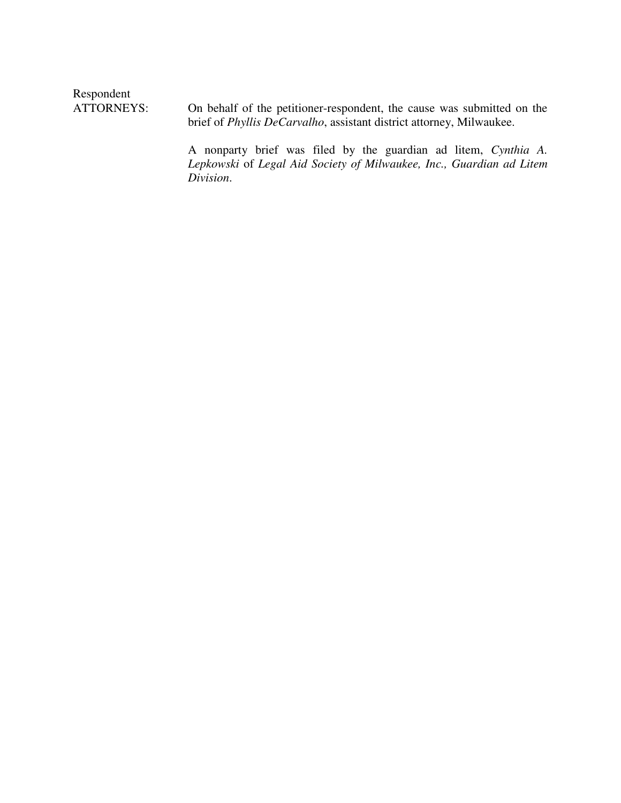Respondent<br>ATTORNEYS:

On behalf of the petitioner-respondent, the cause was submitted on the brief of *Phyllis DeCarvalho*, assistant district attorney, Milwaukee.

A nonparty brief was filed by the guardian ad litem, *Cynthia A. Lepkowski* of *Legal Aid Society of Milwaukee, Inc., Guardian ad Litem Division*.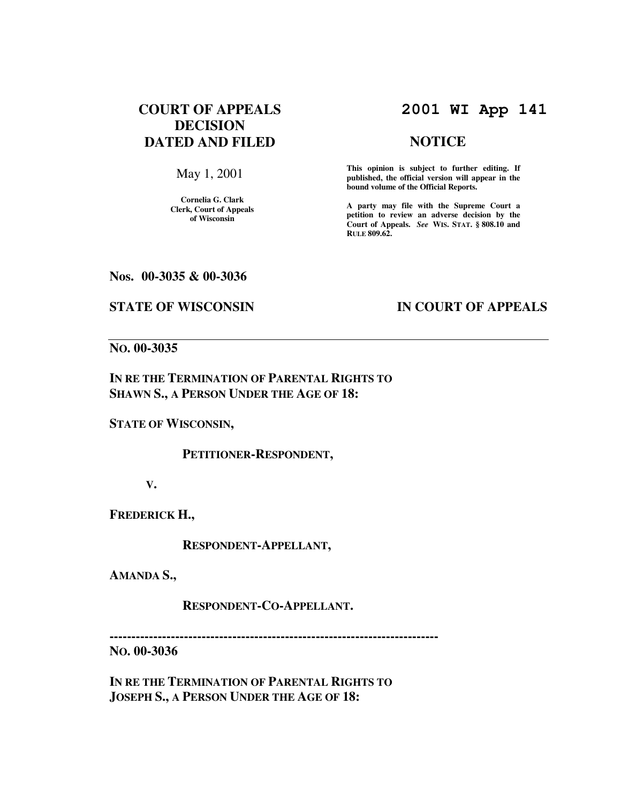# **COURT OF APPEALS DECISION DATED AND FILED**

May 1, 2001

**Cornelia G. Clark Clerk, Court of Appeals of Wisconsin** 

# **2001 WI App 141**

#### **NOTICE**

**This opinion is subject to further editing. If published, the official version will appear in the bound volume of the Official Reports.**

**A party may file with the Supreme Court a petition to review an adverse decision by the Court of Appeals.** *See* **WIS. STAT. § 808.10 and RULE 809.62.** 

#### **Nos. 00-3035 & 00-3036**

#### **STATE OF WISCONSIN IN COURT OF APPEALS**

# **NO. 00-3035**

**IN RE THE TERMINATION OF PARENTAL RIGHTS TO SHAWN S., A PERSON UNDER THE AGE OF 18:** 

**STATE OF WISCONSIN,** 

 **PETITIONER-RESPONDENT,** 

**V.** 

**FREDERICK H.,** 

 **RESPONDENT-APPELLANT,** 

**AMANDA S.,** 

 **RESPONDENT-CO-APPELLANT.** 

**---------------------------------------------------------------------------** 

**NO. 00-3036** 

**IN RE THE TERMINATION OF PARENTAL RIGHTS TO JOSEPH S., A PERSON UNDER THE AGE OF 18:**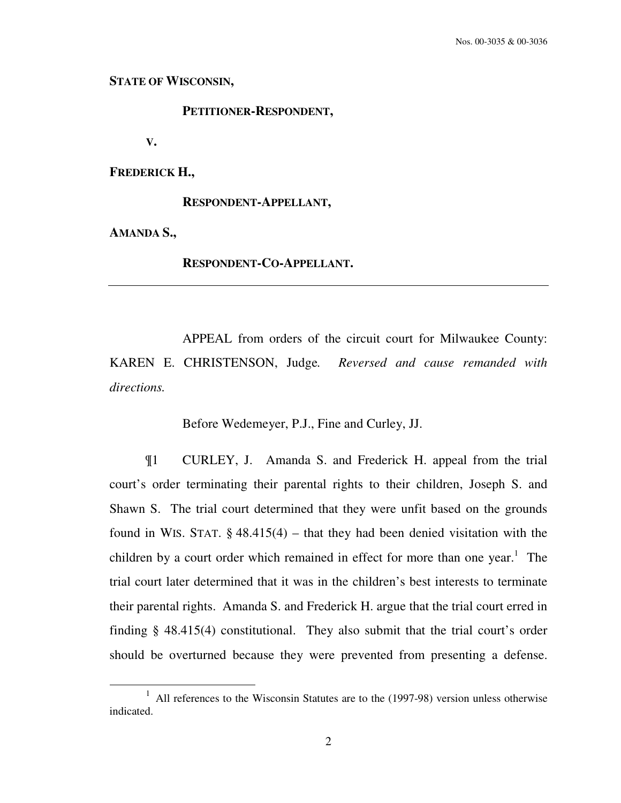**STATE OF WISCONSIN,** 

 **PETITIONER-RESPONDENT,** 

**V.** 

**FREDERICK H.,** 

 **RESPONDENT-APPELLANT,** 

**AMANDA S.,** 

 $\overline{a}$ 

 **RESPONDENT-CO-APPELLANT.** 

 APPEAL from orders of the circuit court for Milwaukee County: KAREN E. CHRISTENSON, Judge*. Reversed and cause remanded with directions.*

Before Wedemeyer, P.J., Fine and Curley, JJ.

 ¶1 CURLEY, J. Amanda S. and Frederick H. appeal from the trial court's order terminating their parental rights to their children, Joseph S. and Shawn S. The trial court determined that they were unfit based on the grounds found in WIS. STAT.  $\S$  48.415(4) – that they had been denied visitation with the children by a court order which remained in effect for more than one year.<sup>1</sup> The trial court later determined that it was in the children's best interests to terminate their parental rights. Amanda S. and Frederick H. argue that the trial court erred in finding § 48.415(4) constitutional. They also submit that the trial court's order should be overturned because they were prevented from presenting a defense.

<sup>&</sup>lt;sup>1</sup> All references to the Wisconsin Statutes are to the (1997-98) version unless otherwise indicated.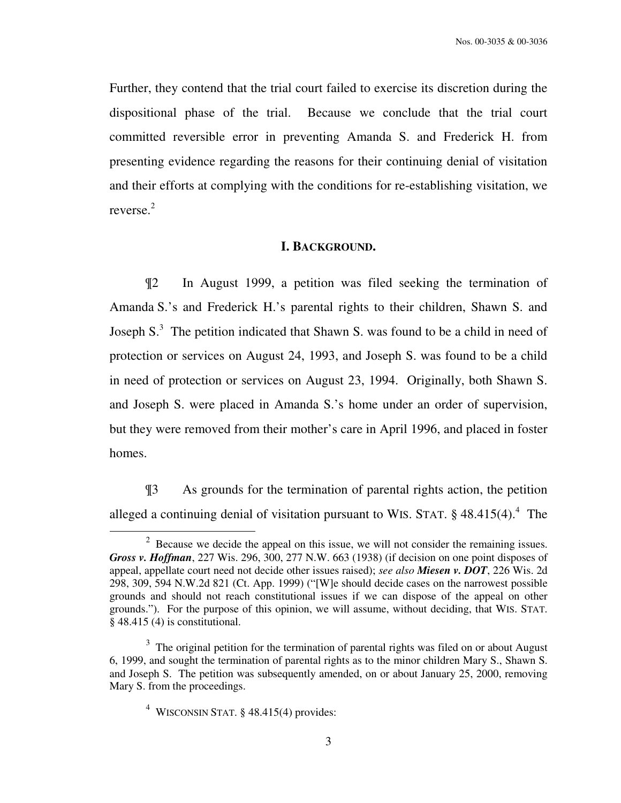Further, they contend that the trial court failed to exercise its discretion during the dispositional phase of the trial. Because we conclude that the trial court committed reversible error in preventing Amanda S. and Frederick H. from presenting evidence regarding the reasons for their continuing denial of visitation and their efforts at complying with the conditions for re-establishing visitation, we reverse.<sup>2</sup>

#### **I. BACKGROUND.**

 ¶2 In August 1999, a petition was filed seeking the termination of Amanda S.'s and Frederick H.'s parental rights to their children, Shawn S. and Joseph S.<sup>3</sup> The petition indicated that Shawn S. was found to be a child in need of protection or services on August 24, 1993, and Joseph S. was found to be a child in need of protection or services on August 23, 1994. Originally, both Shawn S. and Joseph S. were placed in Amanda S.'s home under an order of supervision, but they were removed from their mother's care in April 1996, and placed in foster homes.

 ¶3 As grounds for the termination of parental rights action, the petition alleged a continuing denial of visitation pursuant to WIS. STAT.  $\S$  48.415(4).<sup>4</sup> The

 $2^2$  Because we decide the appeal on this issue, we will not consider the remaining issues. *Gross v. Hoffman*, 227 Wis. 296, 300, 277 N.W. 663 (1938) (if decision on one point disposes of appeal, appellate court need not decide other issues raised); *see also Miesen v. DOT*, 226 Wis. 2d 298, 309, 594 N.W.2d 821 (Ct. App. 1999) ("[W]e should decide cases on the narrowest possible grounds and should not reach constitutional issues if we can dispose of the appeal on other grounds."). For the purpose of this opinion, we will assume, without deciding, that WIS. STAT. § 48.415 (4) is constitutional.

 $3$  The original petition for the termination of parental rights was filed on or about August 6, 1999, and sought the termination of parental rights as to the minor children Mary S., Shawn S. and Joseph S. The petition was subsequently amended, on or about January 25, 2000, removing Mary S. from the proceedings.

<sup>4</sup> WISCONSIN STAT. § 48.415(4) provides: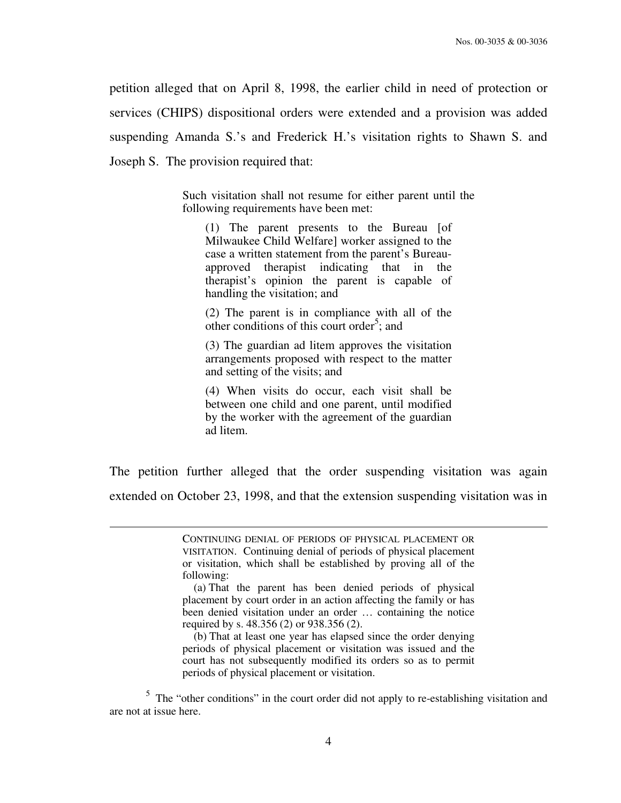petition alleged that on April 8, 1998, the earlier child in need of protection or services (CHIPS) dispositional orders were extended and a provision was added suspending Amanda S.'s and Frederick H.'s visitation rights to Shawn S. and Joseph S. The provision required that:

> Such visitation shall not resume for either parent until the following requirements have been met:

(1) The parent presents to the Bureau [of Milwaukee Child Welfare] worker assigned to the case a written statement from the parent's Bureauapproved therapist indicating that in the therapist's opinion the parent is capable of handling the visitation; and

(2) The parent is in compliance with all of the other conditions of this court order<sup>5</sup>; and

(3) The guardian ad litem approves the visitation arrangements proposed with respect to the matter and setting of the visits; and

(4) When visits do occur, each visit shall be between one child and one parent, until modified by the worker with the agreement of the guardian ad litem.

The petition further alleged that the order suspending visitation was again extended on October 23, 1998, and that the extension suspending visitation was in

 $\overline{a}$ 

 (b) That at least one year has elapsed since the order denying periods of physical placement or visitation was issued and the court has not subsequently modified its orders so as to permit periods of physical placement or visitation.

 $5$  The "other conditions" in the court order did not apply to re-establishing visitation and are not at issue here.

CONTINUING DENIAL OF PERIODS OF PHYSICAL PLACEMENT OR VISITATION. Continuing denial of periods of physical placement or visitation, which shall be established by proving all of the following:

 <sup>(</sup>a) That the parent has been denied periods of physical placement by court order in an action affecting the family or has been denied visitation under an order … containing the notice required by s. 48.356 (2) or 938.356 (2).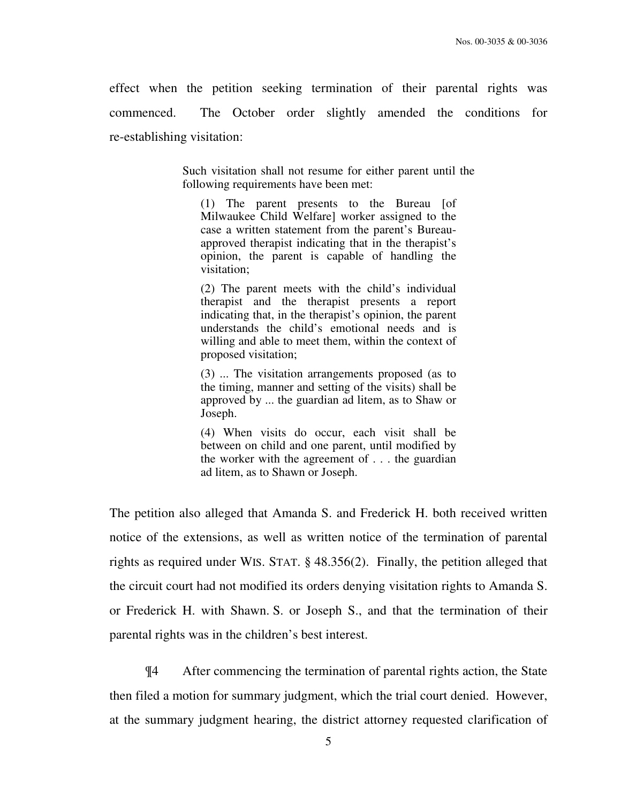effect when the petition seeking termination of their parental rights was commenced. The October order slightly amended the conditions for re-establishing visitation:

> Such visitation shall not resume for either parent until the following requirements have been met:

(1) The parent presents to the Bureau [of Milwaukee Child Welfare] worker assigned to the case a written statement from the parent's Bureauapproved therapist indicating that in the therapist's opinion, the parent is capable of handling the visitation;

(2) The parent meets with the child's individual therapist and the therapist presents a report indicating that, in the therapist's opinion, the parent understands the child's emotional needs and is willing and able to meet them, within the context of proposed visitation;

(3) ... The visitation arrangements proposed (as to the timing, manner and setting of the visits) shall be approved by ... the guardian ad litem, as to Shaw or Joseph.

(4) When visits do occur, each visit shall be between on child and one parent, until modified by the worker with the agreement of . . . the guardian ad litem, as to Shawn or Joseph.

The petition also alleged that Amanda S. and Frederick H. both received written notice of the extensions, as well as written notice of the termination of parental rights as required under WIS. STAT. § 48.356(2). Finally, the petition alleged that the circuit court had not modified its orders denying visitation rights to Amanda S. or Frederick H. with Shawn. S. or Joseph S., and that the termination of their parental rights was in the children's best interest.

 ¶4 After commencing the termination of parental rights action, the State then filed a motion for summary judgment, which the trial court denied. However, at the summary judgment hearing, the district attorney requested clarification of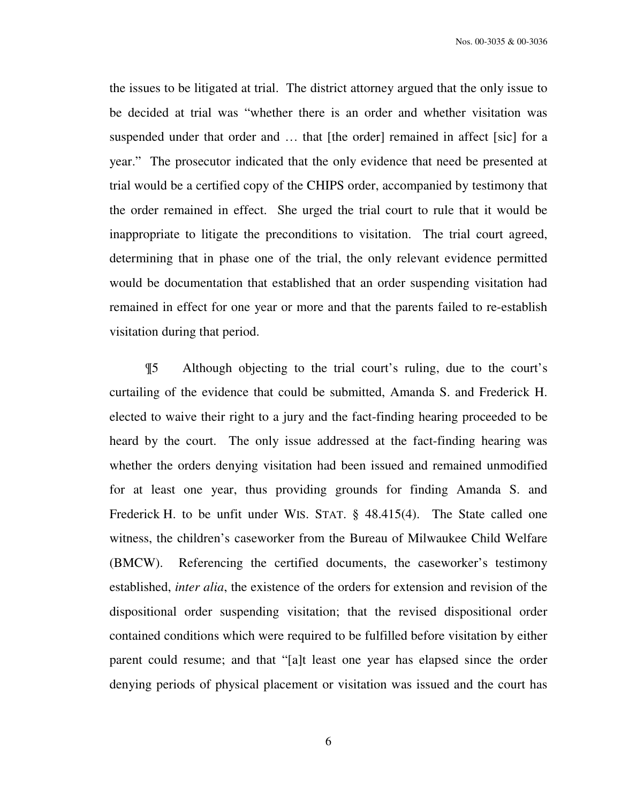Nos. 00-3035 & 00-3036

the issues to be litigated at trial. The district attorney argued that the only issue to be decided at trial was "whether there is an order and whether visitation was suspended under that order and ... that [the order] remained in affect [sic] for a year." The prosecutor indicated that the only evidence that need be presented at trial would be a certified copy of the CHIPS order, accompanied by testimony that the order remained in effect. She urged the trial court to rule that it would be inappropriate to litigate the preconditions to visitation. The trial court agreed, determining that in phase one of the trial, the only relevant evidence permitted would be documentation that established that an order suspending visitation had remained in effect for one year or more and that the parents failed to re-establish visitation during that period.

 ¶5 Although objecting to the trial court's ruling, due to the court's curtailing of the evidence that could be submitted, Amanda S. and Frederick H. elected to waive their right to a jury and the fact-finding hearing proceeded to be heard by the court. The only issue addressed at the fact-finding hearing was whether the orders denying visitation had been issued and remained unmodified for at least one year, thus providing grounds for finding Amanda S. and Frederick H. to be unfit under WIS. STAT. § 48.415(4). The State called one witness, the children's caseworker from the Bureau of Milwaukee Child Welfare (BMCW). Referencing the certified documents, the caseworker's testimony established, *inter alia*, the existence of the orders for extension and revision of the dispositional order suspending visitation; that the revised dispositional order contained conditions which were required to be fulfilled before visitation by either parent could resume; and that "[a]t least one year has elapsed since the order denying periods of physical placement or visitation was issued and the court has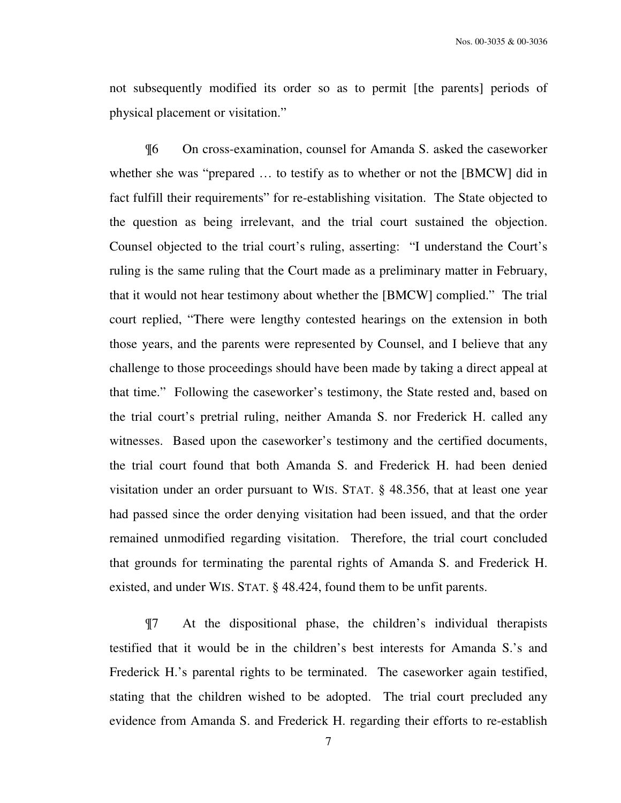not subsequently modified its order so as to permit [the parents] periods of physical placement or visitation."

 ¶6 On cross-examination, counsel for Amanda S. asked the caseworker whether she was "prepared … to testify as to whether or not the [BMCW] did in fact fulfill their requirements" for re-establishing visitation. The State objected to the question as being irrelevant, and the trial court sustained the objection. Counsel objected to the trial court's ruling, asserting: "I understand the Court's ruling is the same ruling that the Court made as a preliminary matter in February, that it would not hear testimony about whether the [BMCW] complied." The trial court replied, "There were lengthy contested hearings on the extension in both those years, and the parents were represented by Counsel, and I believe that any challenge to those proceedings should have been made by taking a direct appeal at that time." Following the caseworker's testimony, the State rested and, based on the trial court's pretrial ruling, neither Amanda S. nor Frederick H. called any witnesses. Based upon the caseworker's testimony and the certified documents, the trial court found that both Amanda S. and Frederick H. had been denied visitation under an order pursuant to WIS. STAT. § 48.356, that at least one year had passed since the order denying visitation had been issued, and that the order remained unmodified regarding visitation. Therefore, the trial court concluded that grounds for terminating the parental rights of Amanda S. and Frederick H. existed, and under WIS. STAT. § 48.424, found them to be unfit parents.

 ¶7 At the dispositional phase, the children's individual therapists testified that it would be in the children's best interests for Amanda S.'s and Frederick H.'s parental rights to be terminated. The caseworker again testified, stating that the children wished to be adopted. The trial court precluded any evidence from Amanda S. and Frederick H. regarding their efforts to re-establish

7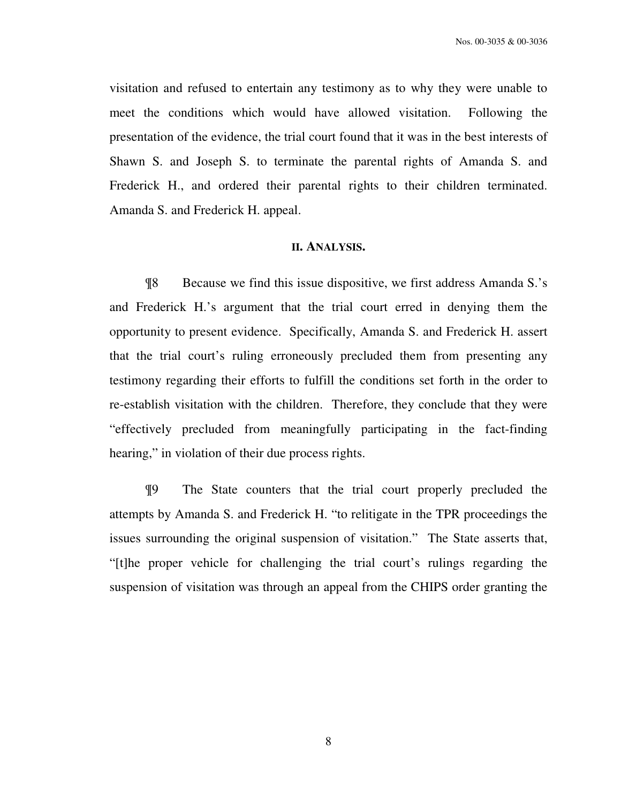visitation and refused to entertain any testimony as to why they were unable to meet the conditions which would have allowed visitation. Following the presentation of the evidence, the trial court found that it was in the best interests of Shawn S. and Joseph S. to terminate the parental rights of Amanda S. and Frederick H., and ordered their parental rights to their children terminated. Amanda S. and Frederick H. appeal.

#### **II. ANALYSIS.**

 ¶8 Because we find this issue dispositive, we first address Amanda S.'s and Frederick H.'s argument that the trial court erred in denying them the opportunity to present evidence. Specifically, Amanda S. and Frederick H. assert that the trial court's ruling erroneously precluded them from presenting any testimony regarding their efforts to fulfill the conditions set forth in the order to re-establish visitation with the children. Therefore, they conclude that they were "effectively precluded from meaningfully participating in the fact-finding hearing," in violation of their due process rights.

 ¶9 The State counters that the trial court properly precluded the attempts by Amanda S. and Frederick H. "to relitigate in the TPR proceedings the issues surrounding the original suspension of visitation." The State asserts that, "[t]he proper vehicle for challenging the trial court's rulings regarding the suspension of visitation was through an appeal from the CHIPS order granting the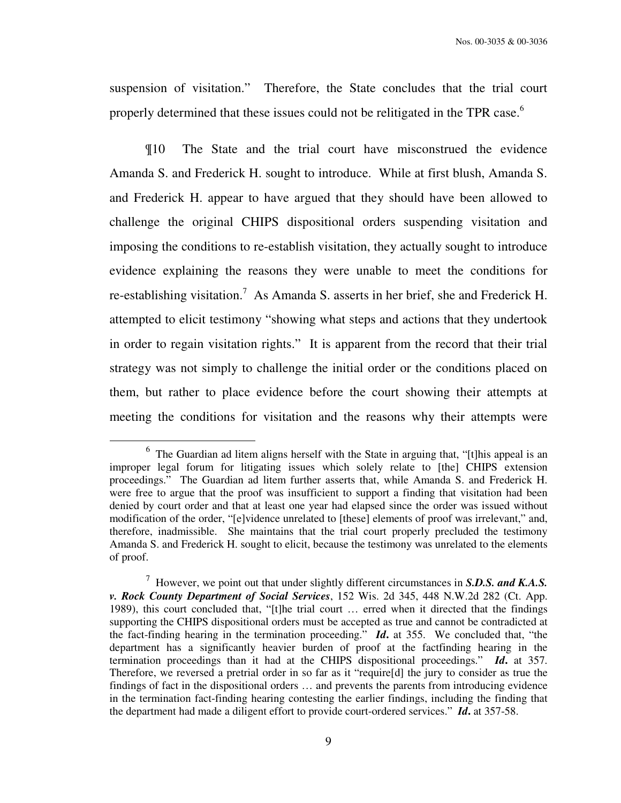suspension of visitation." Therefore, the State concludes that the trial court properly determined that these issues could not be relitigated in the TPR case.<sup>6</sup>

 ¶10 The State and the trial court have misconstrued the evidence Amanda S. and Frederick H. sought to introduce. While at first blush, Amanda S. and Frederick H. appear to have argued that they should have been allowed to challenge the original CHIPS dispositional orders suspending visitation and imposing the conditions to re-establish visitation, they actually sought to introduce evidence explaining the reasons they were unable to meet the conditions for re-establishing visitation.<sup>7</sup> As Amanda S. asserts in her brief, she and Frederick H. attempted to elicit testimony "showing what steps and actions that they undertook in order to regain visitation rights." It is apparent from the record that their trial strategy was not simply to challenge the initial order or the conditions placed on them, but rather to place evidence before the court showing their attempts at meeting the conditions for visitation and the reasons why their attempts were

 $6$  The Guardian ad litem aligns herself with the State in arguing that, "[t]his appeal is an improper legal forum for litigating issues which solely relate to [the] CHIPS extension proceedings." The Guardian ad litem further asserts that, while Amanda S. and Frederick H. were free to argue that the proof was insufficient to support a finding that visitation had been denied by court order and that at least one year had elapsed since the order was issued without modification of the order, "[e]vidence unrelated to [these] elements of proof was irrelevant," and, therefore, inadmissible. She maintains that the trial court properly precluded the testimony Amanda S. and Frederick H. sought to elicit, because the testimony was unrelated to the elements of proof.

<sup>7</sup> However, we point out that under slightly different circumstances in *S.D.S. and K.A.S. v. Rock County Department of Social Services*, 152 Wis. 2d 345, 448 N.W.2d 282 (Ct. App. 1989), this court concluded that, "[t]he trial court … erred when it directed that the findings supporting the CHIPS dispositional orders must be accepted as true and cannot be contradicted at the fact-finding hearing in the termination proceeding." *Id***.** at 355. We concluded that, "the department has a significantly heavier burden of proof at the factfinding hearing in the termination proceedings than it had at the CHIPS dispositional proceedings." *Id***.** at 357. Therefore, we reversed a pretrial order in so far as it "require[d] the jury to consider as true the findings of fact in the dispositional orders … and prevents the parents from introducing evidence in the termination fact-finding hearing contesting the earlier findings, including the finding that the department had made a diligent effort to provide court-ordered services." *Id***.** at 357-58.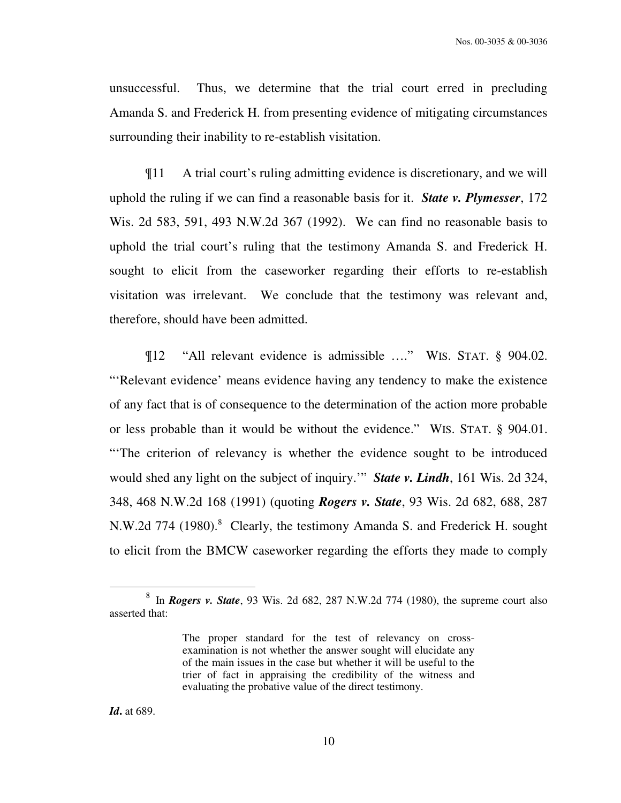unsuccessful. Thus, we determine that the trial court erred in precluding Amanda S. and Frederick H. from presenting evidence of mitigating circumstances surrounding their inability to re-establish visitation.

 ¶11 A trial court's ruling admitting evidence is discretionary, and we will uphold the ruling if we can find a reasonable basis for it. *State v. Plymesser*, 172 Wis. 2d 583, 591, 493 N.W.2d 367 (1992). We can find no reasonable basis to uphold the trial court's ruling that the testimony Amanda S. and Frederick H. sought to elicit from the caseworker regarding their efforts to re-establish visitation was irrelevant. We conclude that the testimony was relevant and, therefore, should have been admitted.

 ¶12 "All relevant evidence is admissible …." WIS. STAT. § 904.02. "'Relevant evidence' means evidence having any tendency to make the existence of any fact that is of consequence to the determination of the action more probable or less probable than it would be without the evidence." WIS. STAT. § 904.01. "The criterion of relevancy is whether the evidence sought to be introduced would shed any light on the subject of inquiry.'" *State v. Lindh*, 161 Wis. 2d 324, 348, 468 N.W.2d 168 (1991) (quoting *Rogers v. State*, 93 Wis. 2d 682, 688, 287 N.W.2d 774 (1980).<sup>8</sup> Clearly, the testimony Amanda S. and Frederick H. sought to elicit from the BMCW caseworker regarding the efforts they made to comply

<sup>8</sup> In *Rogers v. State*, 93 Wis. 2d 682, 287 N.W.2d 774 (1980), the supreme court also asserted that:

The proper standard for the test of relevancy on crossexamination is not whether the answer sought will elucidate any of the main issues in the case but whether it will be useful to the trier of fact in appraising the credibility of the witness and evaluating the probative value of the direct testimony.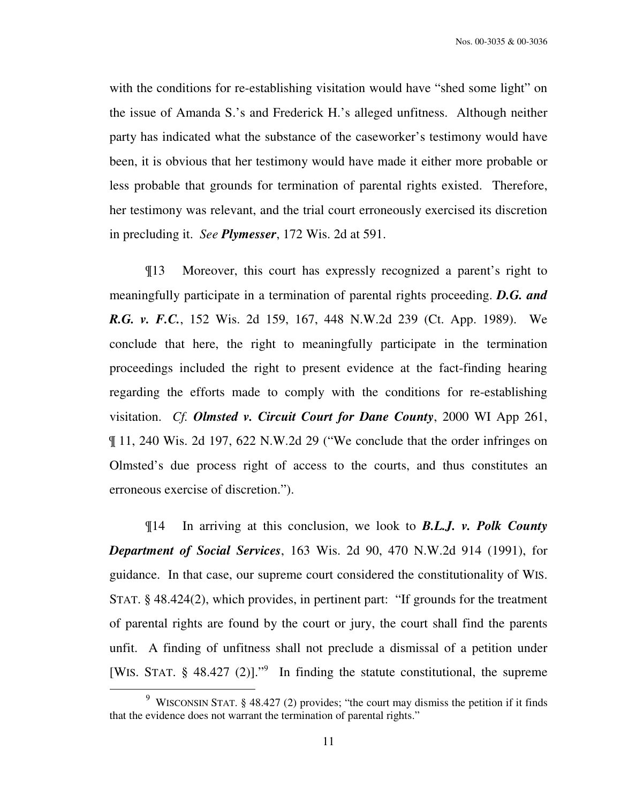with the conditions for re-establishing visitation would have "shed some light" on the issue of Amanda S.'s and Frederick H.'s alleged unfitness. Although neither party has indicated what the substance of the caseworker's testimony would have been, it is obvious that her testimony would have made it either more probable or less probable that grounds for termination of parental rights existed. Therefore, her testimony was relevant, and the trial court erroneously exercised its discretion in precluding it. *See Plymesser*, 172 Wis. 2d at 591.

 ¶13 Moreover, this court has expressly recognized a parent's right to meaningfully participate in a termination of parental rights proceeding. *D.G. and R.G. v. F.C.*, 152 Wis. 2d 159, 167, 448 N.W.2d 239 (Ct. App. 1989).We conclude that here, the right to meaningfully participate in the termination proceedings included the right to present evidence at the fact-finding hearing regarding the efforts made to comply with the conditions for re-establishing visitation. *Cf. Olmsted v. Circuit Court for Dane County*, 2000 WI App 261, ¶ 11, 240 Wis. 2d 197, 622 N.W.2d 29 ("We conclude that the order infringes on Olmsted's due process right of access to the courts, and thus constitutes an erroneous exercise of discretion.").

 ¶14 In arriving at this conclusion, we look to *B.L.J. v. Polk County Department of Social Services*, 163 Wis. 2d 90, 470 N.W.2d 914 (1991), for guidance. In that case, our supreme court considered the constitutionality of WIS. STAT. § 48.424(2), which provides, in pertinent part: "If grounds for the treatment of parental rights are found by the court or jury, the court shall find the parents unfit. A finding of unfitness shall not preclude a dismissal of a petition under [WIS. STAT.  $\S$  48.427 (2)]."<sup>9</sup> In finding the statute constitutional, the supreme

<sup>&</sup>lt;sup>9</sup> WISCONSIN STAT. § 48.427 (2) provides; "the court may dismiss the petition if it finds that the evidence does not warrant the termination of parental rights."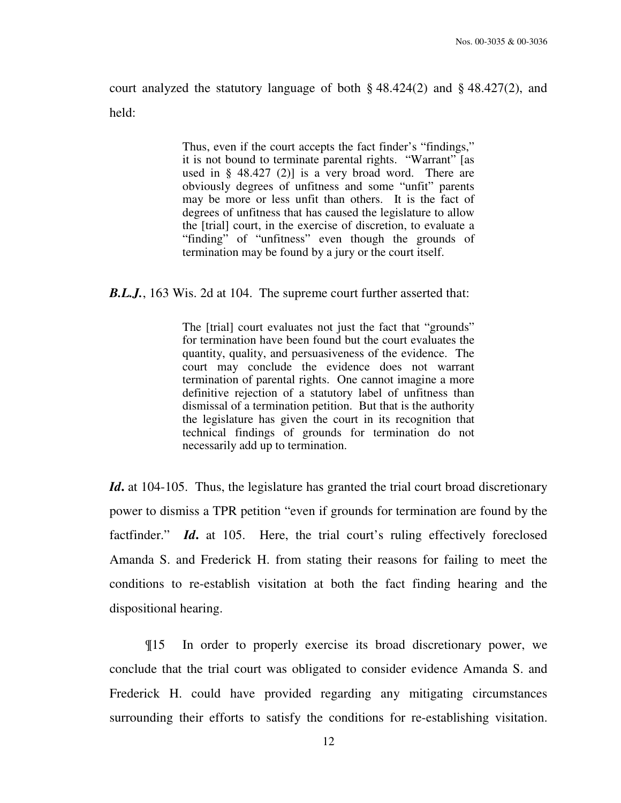court analyzed the statutory language of both § 48.424(2) and § 48.427(2), and held:

> Thus, even if the court accepts the fact finder's "findings," it is not bound to terminate parental rights. "Warrant" [as used in § 48.427 (2)] is a very broad word. There are obviously degrees of unfitness and some "unfit" parents may be more or less unfit than others. It is the fact of degrees of unfitness that has caused the legislature to allow the [trial] court, in the exercise of discretion, to evaluate a "finding" of "unfitness" even though the grounds of termination may be found by a jury or the court itself.

*B.L.J.*, 163 Wis. 2d at 104. The supreme court further asserted that:

The [trial] court evaluates not just the fact that "grounds" for termination have been found but the court evaluates the quantity, quality, and persuasiveness of the evidence. The court may conclude the evidence does not warrant termination of parental rights. One cannot imagine a more definitive rejection of a statutory label of unfitness than dismissal of a termination petition. But that is the authority the legislature has given the court in its recognition that technical findings of grounds for termination do not necessarily add up to termination.

Id. at 104-105. Thus, the legislature has granted the trial court broad discretionary power to dismiss a TPR petition "even if grounds for termination are found by the factfinder." *Id*, at 105. Here, the trial court's ruling effectively foreclosed Amanda S. and Frederick H. from stating their reasons for failing to meet the conditions to re-establish visitation at both the fact finding hearing and the dispositional hearing.

 ¶15 In order to properly exercise its broad discretionary power, we conclude that the trial court was obligated to consider evidence Amanda S. and Frederick H. could have provided regarding any mitigating circumstances surrounding their efforts to satisfy the conditions for re-establishing visitation.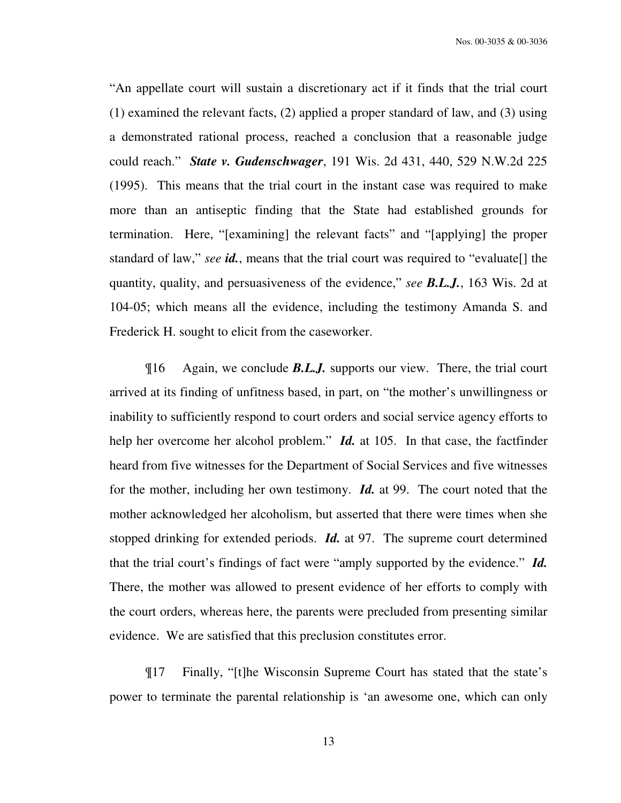Nos. 00-3035 & 00-3036

"An appellate court will sustain a discretionary act if it finds that the trial court (1) examined the relevant facts, (2) applied a proper standard of law, and (3) using a demonstrated rational process, reached a conclusion that a reasonable judge could reach." *State v. Gudenschwager*, 191 Wis. 2d 431, 440, 529 N.W.2d 225 (1995). This means that the trial court in the instant case was required to make more than an antiseptic finding that the State had established grounds for termination. Here, "[examining] the relevant facts" and "[applying] the proper standard of law," *see id.*, means that the trial court was required to "evaluate[] the quantity, quality, and persuasiveness of the evidence," *see B.L.J.*, 163 Wis. 2d at 104-05; which means all the evidence, including the testimony Amanda S. and Frederick H. sought to elicit from the caseworker.

 ¶16 Again, we conclude *B.L.J.* supports our view. There, the trial court arrived at its finding of unfitness based, in part, on "the mother's unwillingness or inability to sufficiently respond to court orders and social service agency efforts to help her overcome her alcohol problem." *Id.* at 105. In that case, the factfinder heard from five witnesses for the Department of Social Services and five witnesses for the mother, including her own testimony. *Id.* at 99. The court noted that the mother acknowledged her alcoholism, but asserted that there were times when she stopped drinking for extended periods. *Id.* at 97. The supreme court determined that the trial court's findings of fact were "amply supported by the evidence." *Id.* There, the mother was allowed to present evidence of her efforts to comply with the court orders, whereas here, the parents were precluded from presenting similar evidence. We are satisfied that this preclusion constitutes error.

 ¶17 Finally, "[t]he Wisconsin Supreme Court has stated that the state's power to terminate the parental relationship is 'an awesome one, which can only

13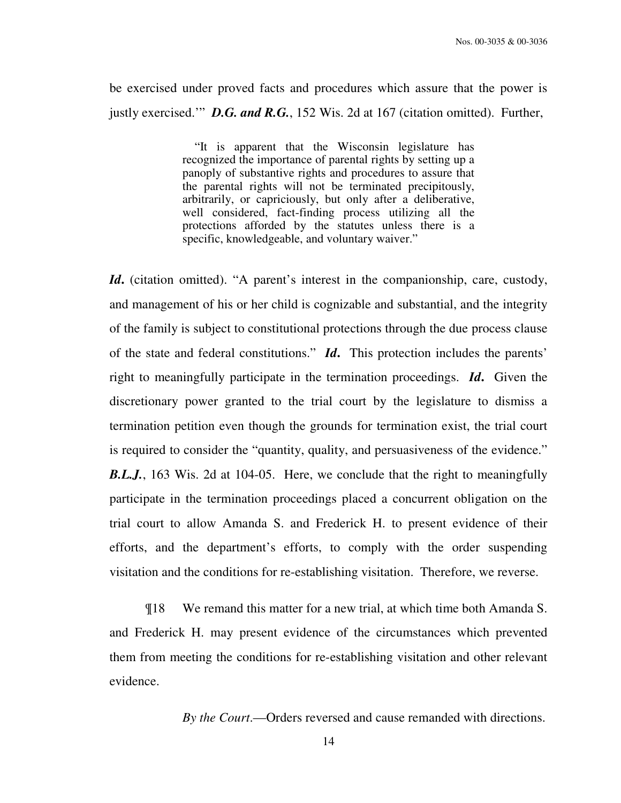be exercised under proved facts and procedures which assure that the power is justly exercised." **D.G. and R.G.**, 152 Wis. 2d at 167 (citation omitted). Further,

> "It is apparent that the Wisconsin legislature has recognized the importance of parental rights by setting up a panoply of substantive rights and procedures to assure that the parental rights will not be terminated precipitously, arbitrarily, or capriciously, but only after a deliberative, well considered, fact-finding process utilizing all the protections afforded by the statutes unless there is a specific, knowledgeable, and voluntary waiver."

*Id***.** (citation omitted). "A parent's interest in the companionship, care, custody, and management of his or her child is cognizable and substantial, and the integrity of the family is subject to constitutional protections through the due process clause of the state and federal constitutions." *Id***.** This protection includes the parents' right to meaningfully participate in the termination proceedings. *Id***.** Given the discretionary power granted to the trial court by the legislature to dismiss a termination petition even though the grounds for termination exist, the trial court is required to consider the "quantity, quality, and persuasiveness of the evidence." *B.L.J.*, 163 Wis. 2d at 104-05. Here, we conclude that the right to meaningfully participate in the termination proceedings placed a concurrent obligation on the trial court to allow Amanda S. and Frederick H. to present evidence of their efforts, and the department's efforts, to comply with the order suspending visitation and the conditions for re-establishing visitation. Therefore, we reverse.

 ¶18 We remand this matter for a new trial, at which time both Amanda S. and Frederick H. may present evidence of the circumstances which prevented them from meeting the conditions for re-establishing visitation and other relevant evidence.

*By the Court*.—Orders reversed and cause remanded with directions.